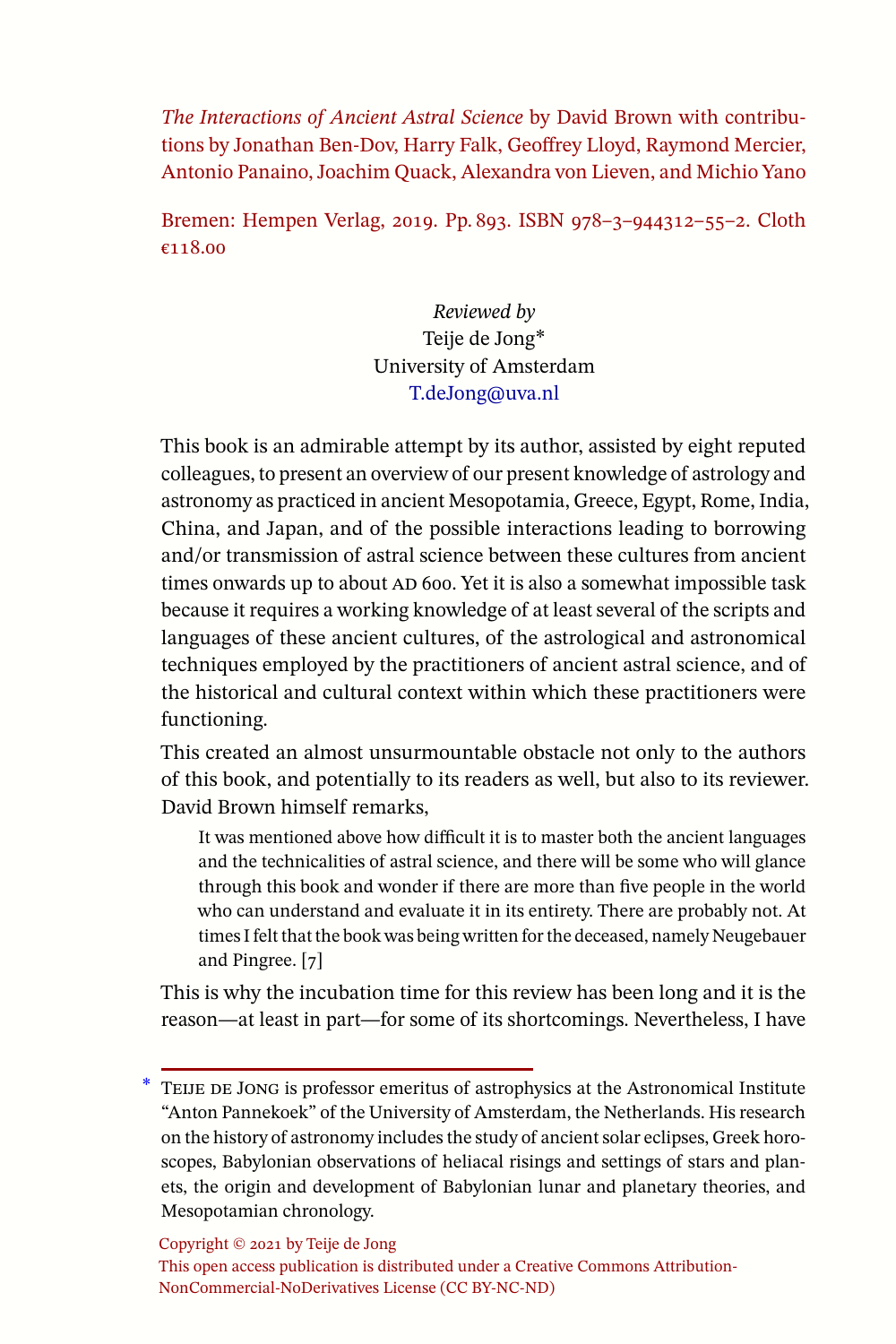*The Interactions of Ancient Astral Science* by David Brown with contributions by Jonathan Ben-Dov, Harry Falk, Geoffrey Lloyd, Raymond Mercier, Antonio Panaino, Joachim Quack, Alexandra von Lieven, and Michio Yano

Bremen: Hempen Verlag, 2019. Pp. 893. ISBN 978–3–944312–55–2. Cloth €118.00

> *Reviewed by* Teije de Jong∗ University of Amsterdam [T.deJong@uva.nl](mailto:T.deJong@uva.nl)

This book is an admirable attempt by its author, assisted by eight reputed colleagues, to present an overview of our present knowledge of astrology and astronomy as practiced in ancient Mesopotamia, Greece, Egypt, Rome, India, China, and Japan, and of the possible interactions leading to borrowing and/or transmission of astral science between these cultures from ancient times onwards up to about AD 600. Yet it is also a somewhat impossible task because it requires a working knowledge of at least several of the scripts and languages of these ancient cultures, of the astrological and astronomical techniques employed by the practitioners of ancient astral science, and of the historical and cultural context within which these practitioners were functioning.

This created an almost unsurmountable obstacle not only to the authors of this book, and potentially to its readers as well, but also to its reviewer. David Brown himself remarks,

It was mentioned above how difficult it is to master both the ancient languages and the technicalities of astral science, and there will be some who will glance through this book and wonder if there are more than five people in the world who can understand and evaluate it in its entirety. There are probably not. At times I felt that the book was being written for the deceased, namely Neugebauer and Pingree. [7]

This is why the incubation time for this review has been long and it is the reason—at least in part—for some of its shortcomings. Nevertheless, I have

Copyright © 2021 by Teije de Jong

<sup>∗</sup> Teije de Jong is professor emeritus of astrophysics at the Astronomical Institute "Anton Pannekoek" of the University of Amsterdam, the Netherlands. His research on the history of astronomy includes the study of ancient solar eclipses, Greek horoscopes, Babylonian observations of heliacal risings and settings of stars and planets, the origin and development of Babylonian lunar and planetary theories, and Mesopotamian chronology.

This open access publication is distributed under a Creative Commons Attribution-NonCommercial-NoDerivatives License (CC BY-NC-ND)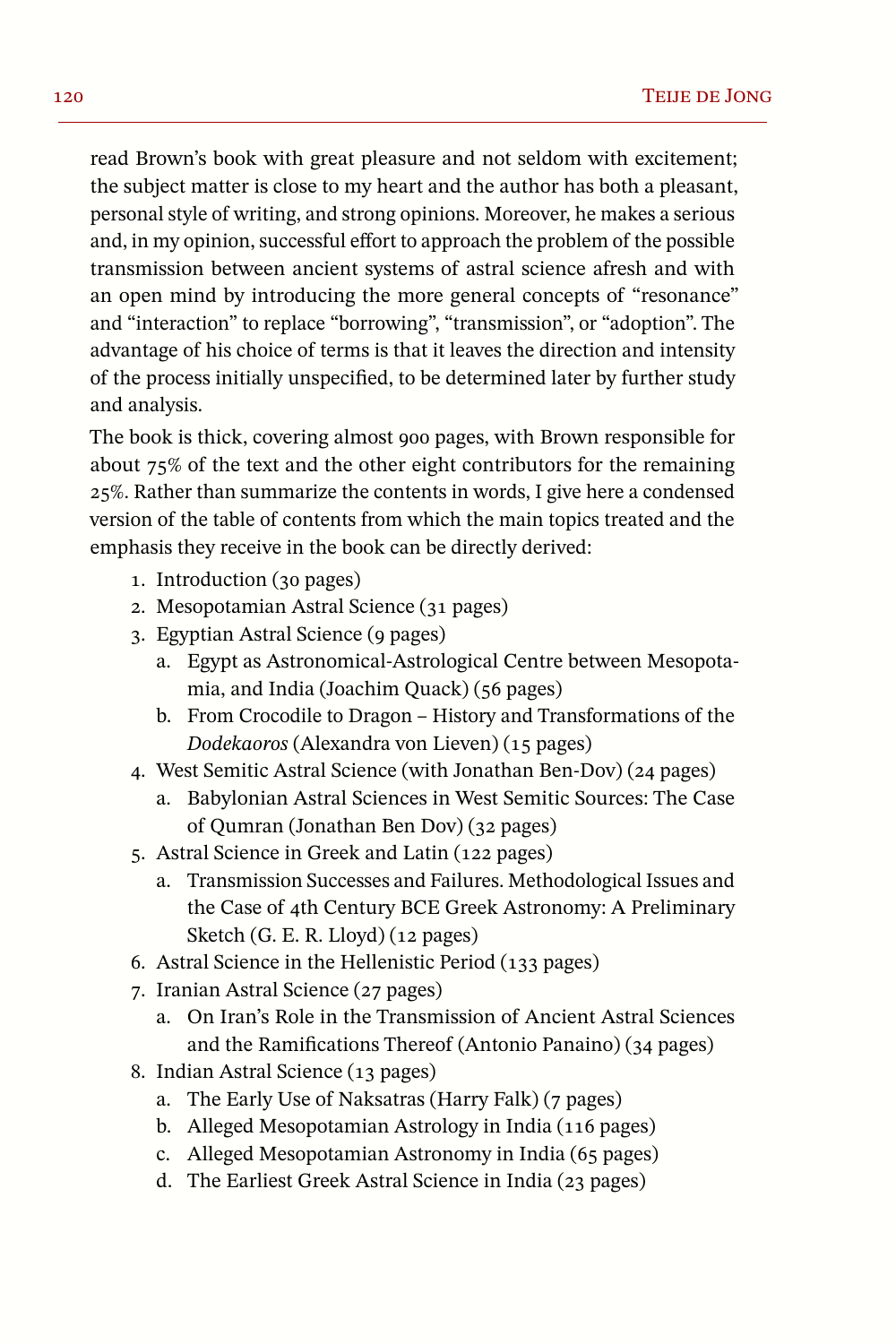read Brown's book with great pleasure and not seldom with excitement; the subject matter is close to my heart and the author has both a pleasant, personal style of writing, and strong opinions. Moreover, he makes a serious and, in my opinion, successful effort to approach the problem of the possible transmission between ancient systems of astral science afresh and with an open mind by introducing the more general concepts of "resonance" and "interaction" to replace "borrowing", "transmission", or "adoption". The advantage of his choice of terms is that it leaves the direction and intensity of the process initially unspecified, to be determined later by further study and analysis.

The book is thick, covering almost 900 pages, with Brown responsible for about 75% of the text and the other eight contributors for the remaining 25%. Rather than summarize the contents in words, I give here a condensed version of the table of contents from which the main topics treated and the emphasis they receive in the book can be directly derived:

- 1. Introduction (30 pages)
- 2. Mesopotamian Astral Science (31 pages)
- 3. Egyptian Astral Science (9 pages)
	- a. Egypt as Astronomical-Astrological Centre between Mesopotamia, and India (Joachim Quack) (56 pages)
	- b. From Crocodile to Dragon History and Transformations of the *Dodekaoros* (Alexandra von Lieven) (15 pages)
- 4. West Semitic Astral Science (with Jonathan Ben-Dov) (24 pages)
	- a. Babylonian Astral Sciences in West Semitic Sources: The Case of Qumran (Jonathan Ben Dov) (32 pages)
- 5. Astral Science in Greek and Latin (122 pages)
	- a. Transmission Successes and Failures. Methodological Issues and the Case of 4th Century BCE Greek Astronomy: A Preliminary Sketch (G. E. R. Lloyd) (12 pages)
- 6. Astral Science in the Hellenistic Period (133 pages)
- 7. Iranian Astral Science (27 pages)
	- a. On Iran's Role in the Transmission of Ancient Astral Sciences and the Ramifications Thereof (Antonio Panaino) (34 pages)
- 8. Indian Astral Science (13 pages)
	- a. The Early Use of Naksatras (Harry Falk) (7 pages)
	- b. Alleged Mesopotamian Astrology in India (116 pages)
	- c. Alleged Mesopotamian Astronomy in India (65 pages)
	- d. The Earliest Greek Astral Science in India (23 pages)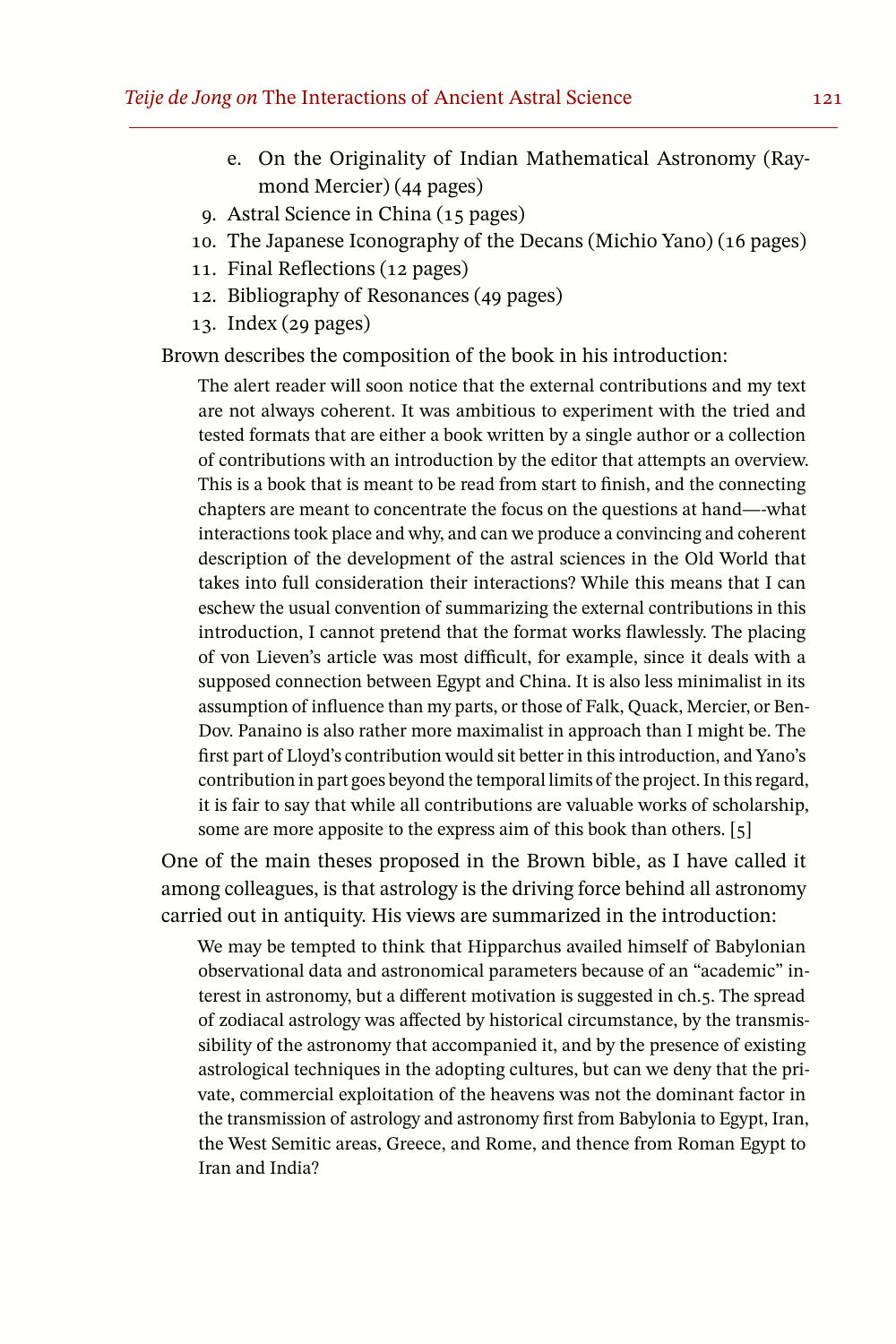- e. On the Originality of Indian Mathematical Astronomy (Raymond Mercier) (44 pages)
- 9. Astral Science in China (15 pages)
- 10. The Japanese Iconography of the Decans (Michio Yano) (16 pages)
- 11. Final Reflections (12 pages)
- 12. Bibliography of Resonances (49 pages)
- 13. Index (29 pages)

Brown describes the composition of the book in his introduction:

The alert reader will soon notice that the external contributions and my text are not always coherent. It was ambitious to experiment with the tried and tested formats that are either a book written by a single author or a collection of contributions with an introduction by the editor that attempts an overview. This is a book that is meant to be read from start to finish, and the connecting chapters are meant to concentrate the focus on the questions at hand—-what interactions took place and why, and can we produce a convincing and coherent description of the development of the astral sciences in the Old World that takes into full consideration their interactions? While this means that I can eschew the usual convention of summarizing the external contributions in this introduction, I cannot pretend that the format works flawlessly. The placing of von Lieven's article was most difficult, for example, since it deals with a supposed connection between Egypt and China. It is also less minimalist in its assumption of influence than my parts, or those of Falk, Quack, Mercier, or Ben-Dov. Panaino is also rather more maximalist in approach than I might be. The first part of Lloyd's contribution would sit better in this introduction, and Yano's contribution in part goes beyond the temporal limits of the project. In thisregard, it is fair to say that while all contributions are valuable works of scholarship, some are more apposite to the express aim of this book than others. [5]

One of the main theses proposed in the Brown bible, as I have called it among colleagues, is that astrology is the driving force behind all astronomy carried out in antiquity. His views are summarized in the introduction:

We may be tempted to think that Hipparchus availed himself of Babylonian observational data and astronomical parameters because of an "academic" interest in astronomy, but a different motivation is suggested in ch.5. The spread of zodiacal astrology was affected by historical circumstance, by the transmissibility of the astronomy that accompanied it, and by the presence of existing astrological techniques in the adopting cultures, but can we deny that the private, commercial exploitation of the heavens was not the dominant factor in the transmission of astrology and astronomy first from Babylonia to Egypt, Iran, the West Semitic areas, Greece, and Rome, and thence from Roman Egypt to Iran and India?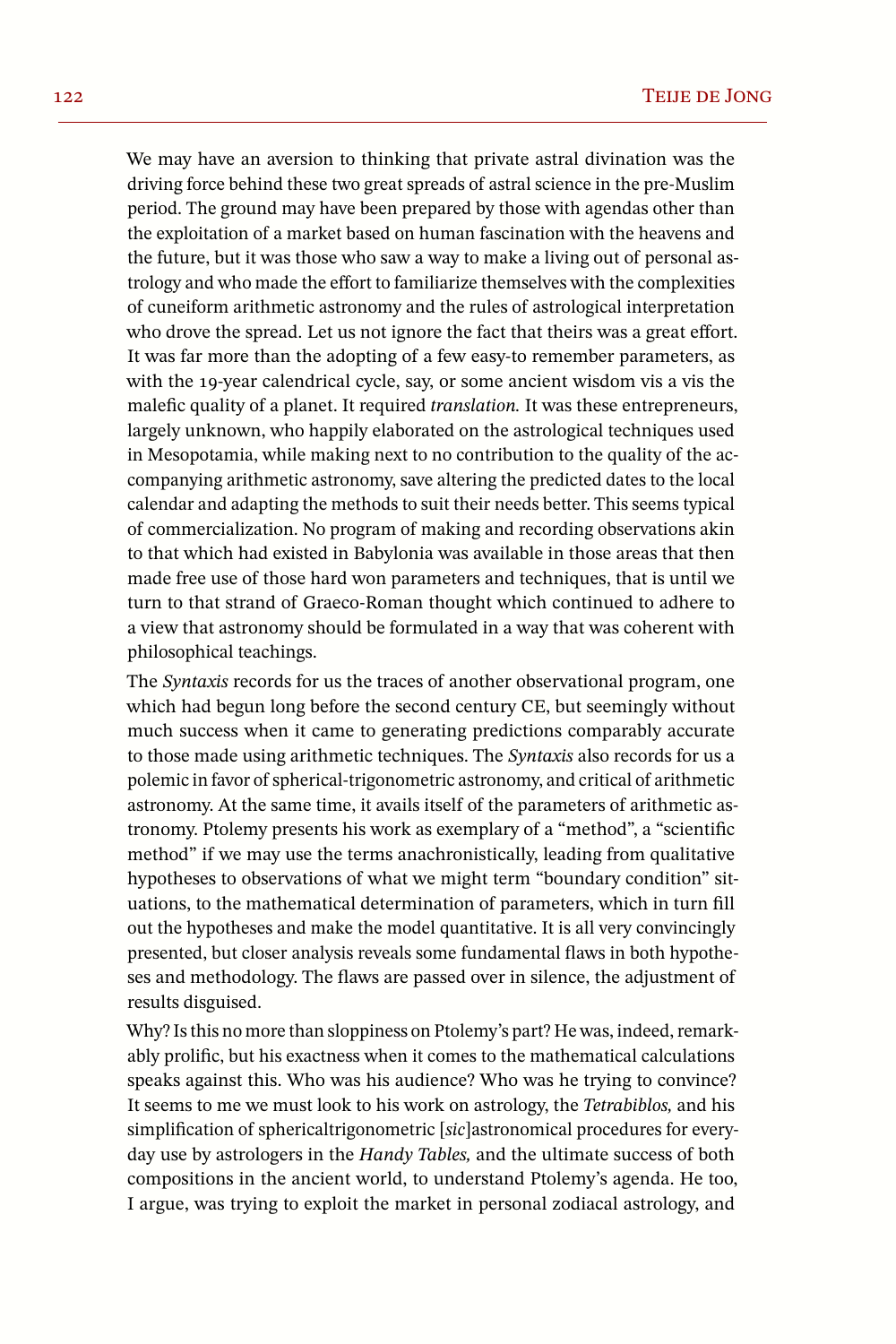We may have an aversion to thinking that private astral divination was the driving force behind these two great spreads of astral science in the pre-Muslim period. The ground may have been prepared by those with agendas other than the exploitation of a market based on human fascination with the heavens and the future, but it was those who saw a way to make a living out of personal astrology and who made the effort to familiarize themselves with the complexities of cuneiform arithmetic astronomy and the rules of astrological interpretation who drove the spread. Let us not ignore the fact that theirs was a great effort. It was far more than the adopting of a few easy-to remember parameters, as with the 19-year calendrical cycle, say, or some ancient wisdom vis a vis the malefic quality of a planet. It required *translation.* It was these entrepreneurs, largely unknown, who happily elaborated on the astrological techniques used in Mesopotamia, while making next to no contribution to the quality of the accompanying arithmetic astronomy, save altering the predicted dates to the local calendar and adapting the methods to suit their needs better. This seems typical of commercialization. No program of making and recording observations akin to that which had existed in Babylonia was available in those areas that then made free use of those hard won parameters and techniques, that is until we turn to that strand of Graeco-Roman thought which continued to adhere to a view that astronomy should be formulated in a way that was coherent with philosophical teachings.

The *Syntaxis* records for us the traces of another observational program, one which had begun long before the second century CE, but seemingly without much success when it came to generating predictions comparably accurate to those made using arithmetic techniques. The *Syntaxis* also records for us a polemic in favor of spherical-trigonometric astronomy, and critical of arithmetic astronomy. At the same time, it avails itself of the parameters of arithmetic astronomy. Ptolemy presents his work as exemplary of a "method", a "scientific method" if we may use the terms anachronistically, leading from qualitative hypotheses to observations of what we might term "boundary condition" situations, to the mathematical determination of parameters, which in turn fill out the hypotheses and make the model quantitative. It is all very convincingly presented, but closer analysis reveals some fundamental flaws in both hypotheses and methodology. The flaws are passed over in silence, the adjustment of results disguised.

Why? Is this no more than sloppiness on Ptolemy's part? He was, indeed, remarkably prolific, but his exactness when it comes to the mathematical calculations speaks against this. Who was his audience? Who was he trying to convince? It seems to me we must look to his work on astrology, the *Tetrabiblos,* and his simplification of sphericaltrigonometric [*sic*]astronomical procedures for everyday use by astrologers in the *Handy Tables,* and the ultimate success of both compositions in the ancient world, to understand Ptolemy's agenda. He too, I argue, was trying to exploit the market in personal zodiacal astrology, and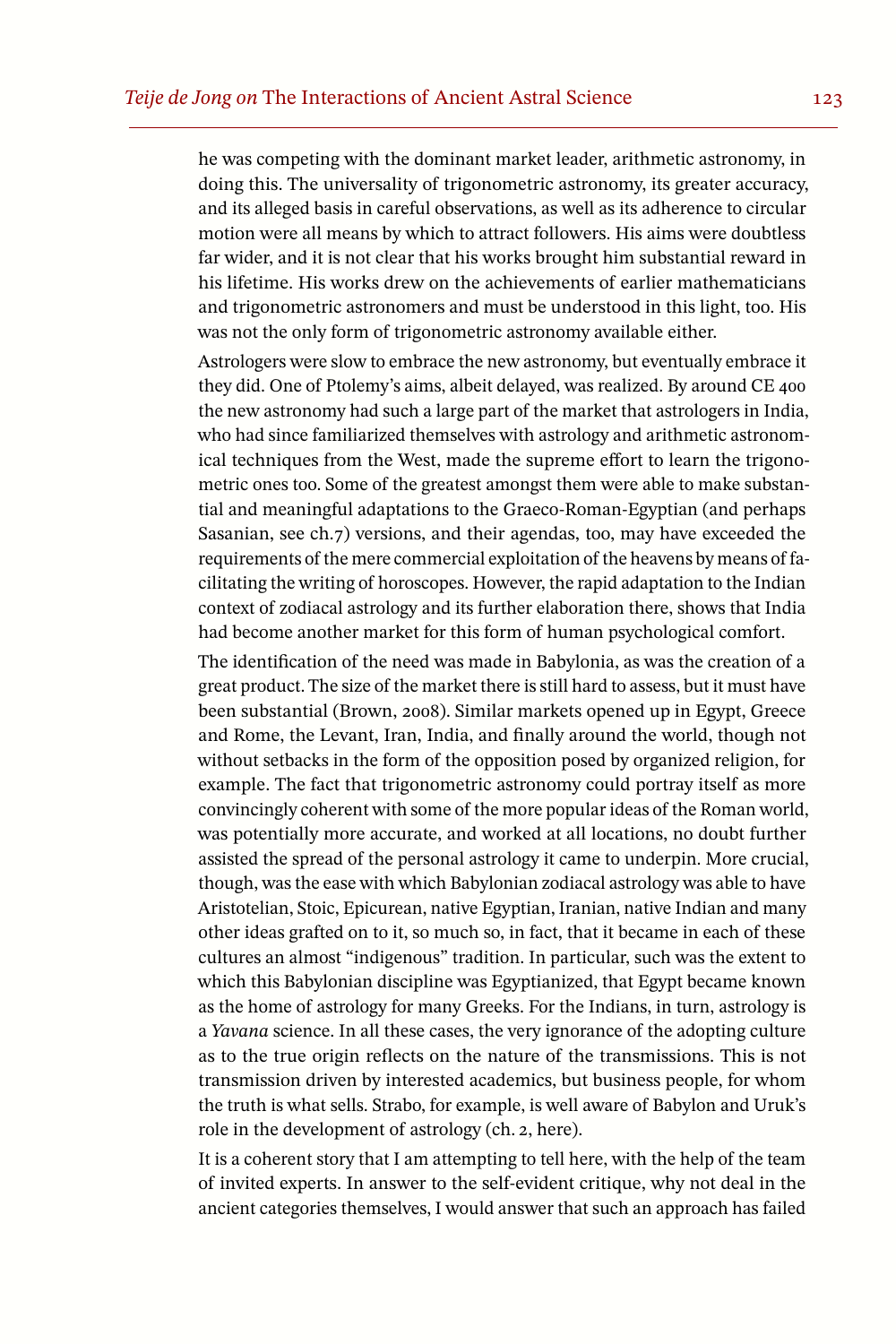he was competing with the dominant market leader, arithmetic astronomy, in doing this. The universality of trigonometric astronomy, its greater accuracy, and its alleged basis in careful observations, as well as its adherence to circular motion were all means by which to attract followers. His aims were doubtless far wider, and it is not clear that his works brought him substantial reward in his lifetime. His works drew on the achievements of earlier mathematicians and trigonometric astronomers and must be understood in this light, too. His was not the only form of trigonometric astronomy available either.

Astrologers were slow to embrace the new astronomy, but eventually embrace it they did. One of Ptolemy's aims, albeit delayed, was realized. By around CE 400 the new astronomy had such a large part of the market that astrologers in India, who had since familiarized themselves with astrology and arithmetic astronomical techniques from the West, made the supreme effort to learn the trigonometric ones too. Some of the greatest amongst them were able to make substantial and meaningful adaptations to the Graeco-Roman-Egyptian (and perhaps Sasanian, see ch.7) versions, and their agendas, too, may have exceeded the requirements of the mere commercial exploitation of the heavens by means of facilitating the writing of horoscopes. However, the rapid adaptation to the Indian context of zodiacal astrology and its further elaboration there, shows that India had become another market for this form of human psychological comfort.

The identification of the need was made in Babylonia, as was the creation of a great product. The size of the market there is still hard to assess, but it must have been substantial (Brown, 2008). Similar markets opened up in Egypt, Greece and Rome, the Levant, Iran, India, and finally around the world, though not without setbacks in the form of the opposition posed by organized religion, for example. The fact that trigonometric astronomy could portray itself as more convincingly coherent with some of the more popular ideas of the Roman world, was potentially more accurate, and worked at all locations, no doubt further assisted the spread of the personal astrology it came to underpin. More crucial, though, wasthe ease with which Babylonian zodiacal astrology was able to have Aristotelian, Stoic, Epicurean, native Egyptian, Iranian, native Indian and many other ideas grafted on to it, so much so, in fact, that it became in each of these cultures an almost "indigenous" tradition. In particular, such was the extent to which this Babylonian discipline was Egyptianized, that Egypt became known as the home of astrology for many Greeks. For the Indians, in turn, astrology is a *Yavana* science. In all these cases, the very ignorance of the adopting culture as to the true origin reflects on the nature of the transmissions. This is not transmission driven by interested academics, but business people, for whom the truth is what sells. Strabo, for example, is well aware of Babylon and Uruk's role in the development of astrology (ch. 2, here).

It is a coherent story that I am attempting to tell here, with the help of the team of invited experts. In answer to the self-evident critique, why not deal in the ancient categories themselves, I would answer that such an approach has failed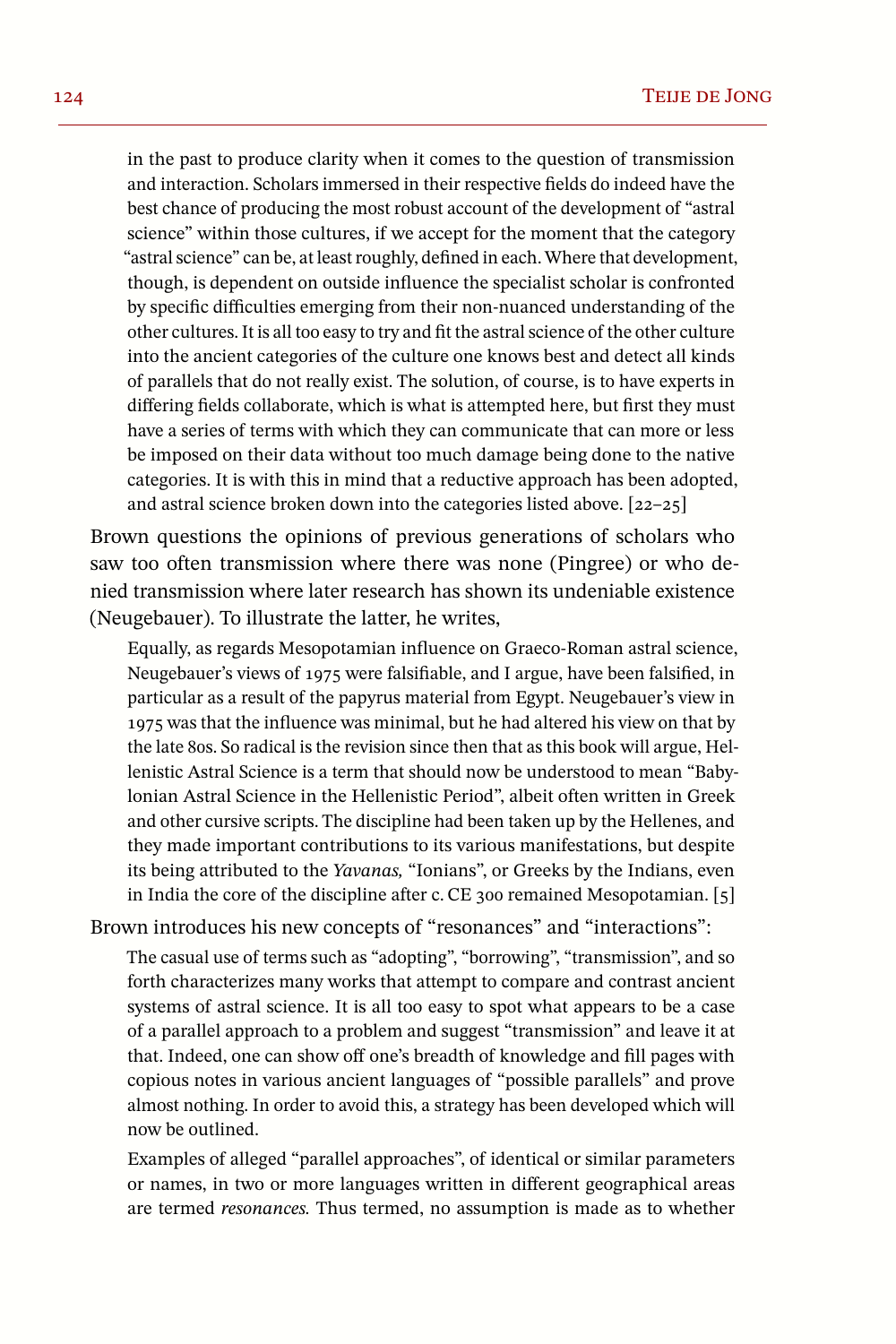in the past to produce clarity when it comes to the question of transmission and interaction. Scholars immersed in their respective fields do indeed have the best chance of producing the most robust account of the development of "astral science" within those cultures, if we accept for the moment that the category "astral science" can be, at least roughly, defined in each. Where that development, though, is dependent on outside influence the specialist scholar is confronted by specific difficulties emerging from their non-nuanced understanding of the other cultures. It is all too easy to try and fit the astralscience of the other culture into the ancient categories of the culture one knows best and detect all kinds of parallels that do not really exist. The solution, of course, is to have experts in differing fields collaborate, which is what is attempted here, but first they must have a series of terms with which they can communicate that can more or less be imposed on their data without too much damage being done to the native categories. It is with this in mind that a reductive approach has been adopted, and astral science broken down into the categories listed above. [22–25]

Brown questions the opinions of previous generations of scholars who saw too often transmission where there was none (Pingree) or who denied transmission where later research has shown its undeniable existence (Neugebauer). To illustrate the latter, he writes,

Equally, as regards Mesopotamian influence on Graeco-Roman astral science, Neugebauer's views of 1975 were falsifiable, and I argue, have been falsified, in particular as a result of the papyrus material from Egypt. Neugebauer's view in 1975 was that the influence was minimal, but he had altered his view on that by the late 80s. So radical is the revision since then that as this book will argue, Hellenistic Astral Science is a term that should now be understood to mean "Babylonian Astral Science in the Hellenistic Period", albeit often written in Greek and other cursive scripts. The discipline had been taken up by the Hellenes, and they made important contributions to its various manifestations, but despite its being attributed to the *Yavanas,* "Ionians", or Greeks by the Indians, even in India the core of the discipline after c.CE 300 remained Mesopotamian. [5]

Brown introduces his new concepts of "resonances" and "interactions":

The casual use of terms such as "adopting", "borrowing", "transmission", and so forth characterizes many works that attempt to compare and contrast ancient systems of astral science. It is all too easy to spot what appears to be a case of a parallel approach to a problem and suggest "transmission" and leave it at that. Indeed, one can show off one's breadth of knowledge and fill pages with copious notes in various ancient languages of "possible parallels" and prove almost nothing. In order to avoid this, a strategy has been developed which will now be outlined.

Examples of alleged "parallel approaches", of identical or similar parameters or names, in two or more languages written in different geographical areas are termed *resonances.* Thus termed, no assumption is made as to whether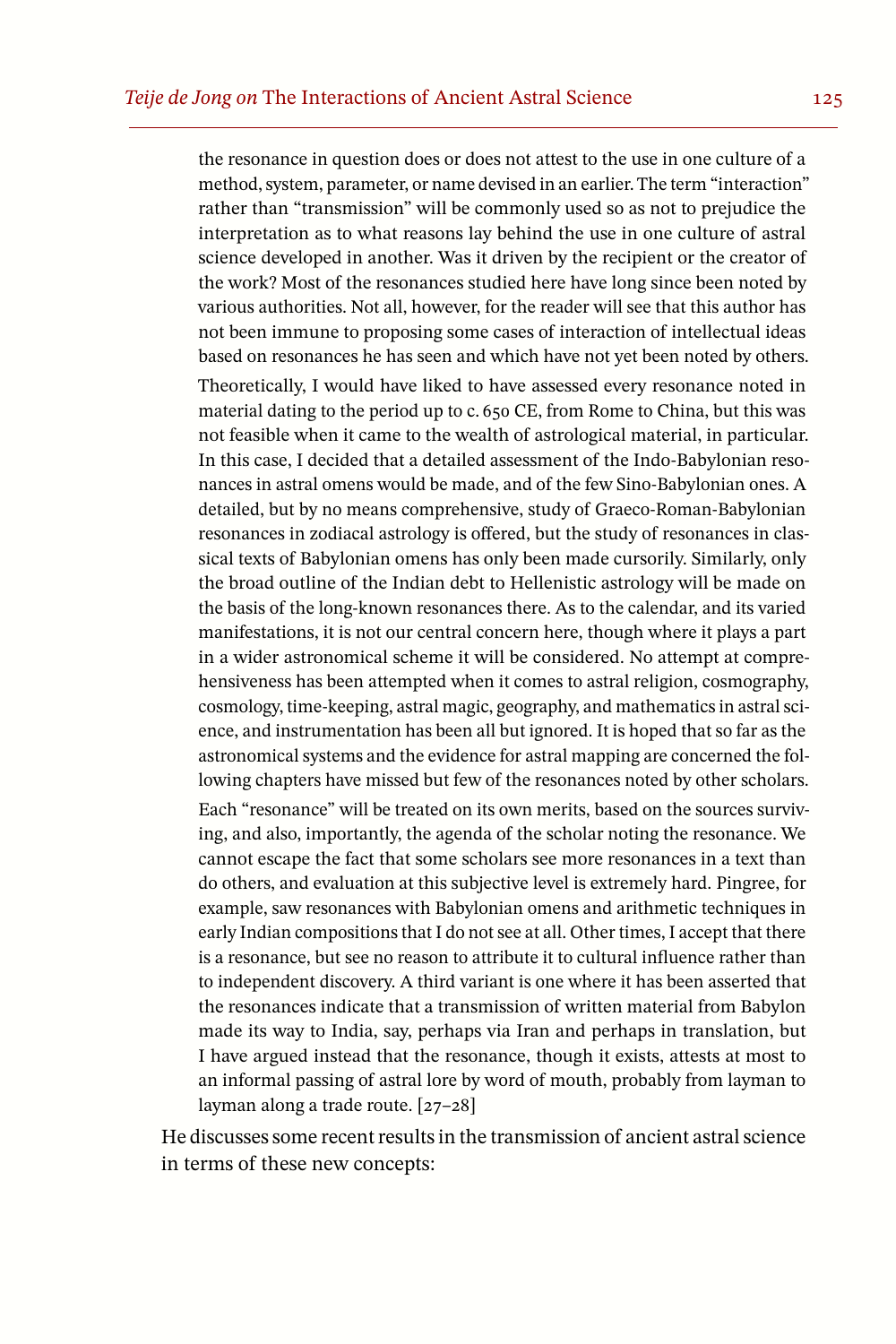the resonance in question does or does not attest to the use in one culture of a method, system, parameter, or name devised in an earlier. The term "interaction" rather than "transmission" will be commonly used so as not to prejudice the interpretation as to what reasons lay behind the use in one culture of astral science developed in another. Was it driven by the recipient or the creator of the work? Most of the resonances studied here have long since been noted by various authorities. Not all, however, for the reader will see that this author has not been immune to proposing some cases of interaction of intellectual ideas based on resonances he has seen and which have not yet been noted by others.

Theoretically, I would have liked to have assessed every resonance noted in material dating to the period up to c. 650 CE, from Rome to China, but this was not feasible when it came to the wealth of astrological material, in particular. In this case, I decided that a detailed assessment of the Indo-Babylonian resonances in astral omens would be made, and of the few Sino-Babylonian ones. A detailed, but by no means comprehensive, study of Graeco-Roman-Babylonian resonances in zodiacal astrology is offered, but the study of resonances in classical texts of Babylonian omens has only been made cursorily. Similarly, only the broad outline of the Indian debt to Hellenistic astrology will be made on the basis of the long-known resonances there. As to the calendar, and its varied manifestations, it is not our central concern here, though where it plays a part in a wider astronomical scheme it will be considered. No attempt at comprehensiveness has been attempted when it comes to astral religion, cosmography, cosmology, time-keeping, astral magic, geography, and mathematics in astral science, and instrumentation has been all but ignored. It is hoped that so far as the astronomical systems and the evidence for astral mapping are concerned the following chapters have missed but few of the resonances noted by other scholars.

Each "resonance" will be treated on its own merits, based on the sources surviving, and also, importantly, the agenda of the scholar noting the resonance. We cannot escape the fact that some scholars see more resonances in a text than do others, and evaluation at this subjective level is extremely hard. Pingree, for example, saw resonances with Babylonian omens and arithmetic techniques in early Indian compositions that I do not see at all. Other times, I accept that there is a resonance, but see no reason to attribute it to cultural influence rather than to independent discovery. A third variant is one where it has been asserted that the resonances indicate that a transmission of written material from Babylon made its way to India, say, perhaps via Iran and perhaps in translation, but I have argued instead that the resonance, though it exists, attests at most to an informal passing of astral lore by word of mouth, probably from layman to layman along a trade route. [27–28]

He discusses some recent resultsin the transmission of ancient astralscience in terms of these new concepts: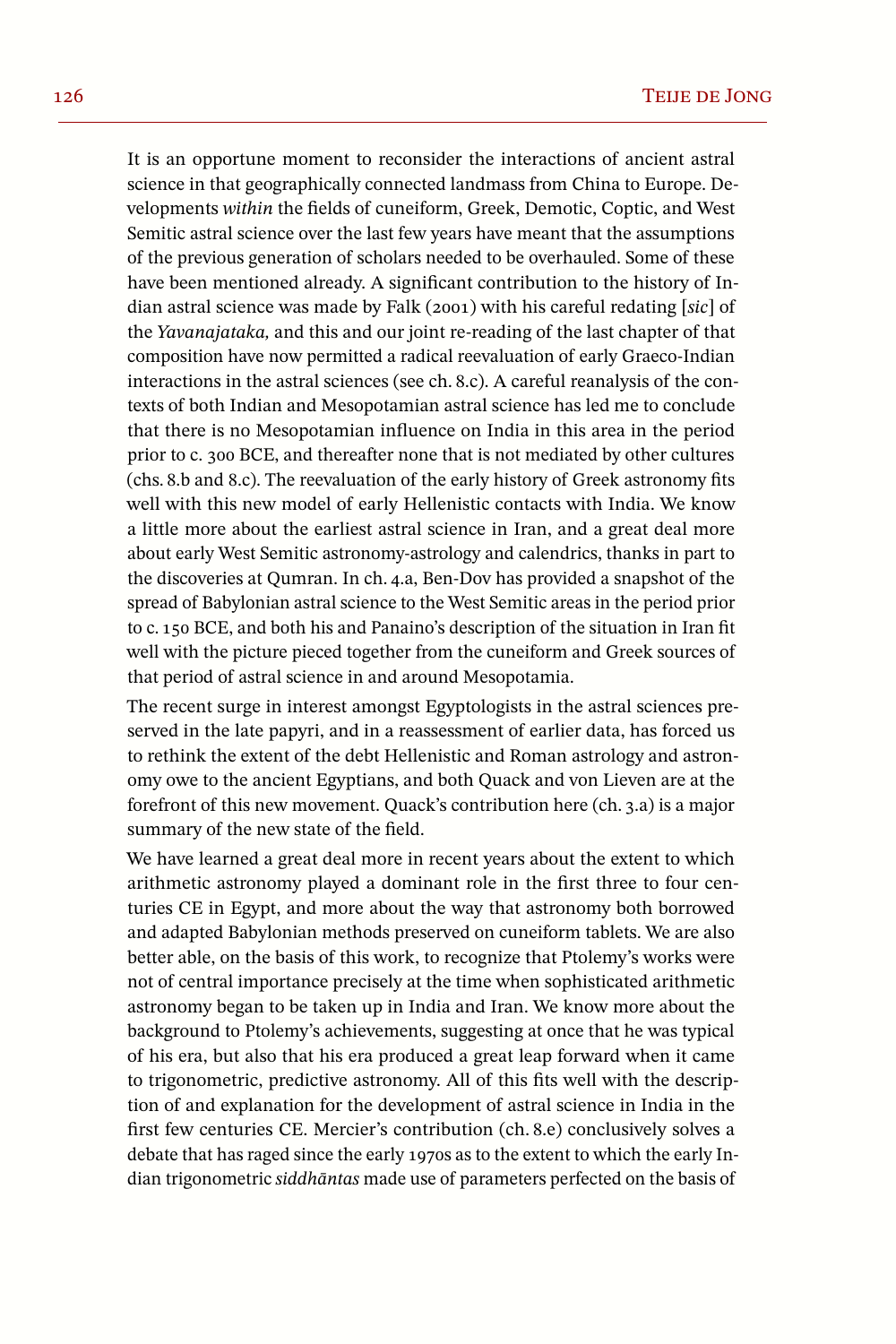It is an opportune moment to reconsider the interactions of ancient astral science in that geographically connected landmass from China to Europe. Developments *within* the fields of cuneiform, Greek, Demotic, Coptic, and West Semitic astral science over the last few years have meant that the assumptions of the previous generation of scholars needed to be overhauled. Some of these have been mentioned already. A significant contribution to the history of Indian astral science was made by Falk (2001) with his careful redating [*sic*] of the *Yavanajataka,* and this and our joint re-reading of the last chapter of that composition have now permitted a radical reevaluation of early Graeco-Indian interactions in the astral sciences (see ch. 8.c). A careful reanalysis of the contexts of both Indian and Mesopotamian astral science has led me to conclude that there is no Mesopotamian influence on India in this area in the period prior to c. 300 BCE, and thereafter none that is not mediated by other cultures (chs. 8.b and 8.c). The reevaluation of the early history of Greek astronomy fits well with this new model of early Hellenistic contacts with India. We know a little more about the earliest astral science in Iran, and a great deal more about early West Semitic astronomyastrology and calendrics, thanks in part to the discoveries at Qumran. In ch. 4.a, Ben-Dov has provided a snapshot of the spread of Babylonian astral science to the West Semitic areas in the period prior to c. 150 BCE, and both his and Panaino's description of the situation in Iran fit well with the picture pieced together from the cuneiform and Greek sources of that period of astral science in and around Mesopotamia.

The recent surge in interest amongst Egyptologists in the astral sciences preserved in the late papyri, and in a reassessment of earlier data, has forced us to rethink the extent of the debt Hellenistic and Roman astrology and astronomy owe to the ancient Egyptians, and both Quack and von Lieven are at the forefront of this new movement. Quack's contribution here (ch. 3.a) is a major summary of the new state of the field.

We have learned a great deal more in recent years about the extent to which arithmetic astronomy played a dominant role in the first three to four centuries CE in Egypt, and more about the way that astronomy both borrowed and adapted Babylonian methods preserved on cuneiform tablets. We are also better able, on the basis of this work, to recognize that Ptolemy's works were not of central importance precisely at the time when sophisticated arithmetic astronomy began to be taken up in India and Iran. We know more about the background to Ptolemy's achievements, suggesting at once that he was typical of his era, but also that his era produced a great leap forward when it came to trigonometric, predictive astronomy. All of this fits well with the description of and explanation for the development of astral science in India in the first few centuries CE. Mercier's contribution (ch. 8.e) conclusively solves a debate that has raged since the early 1970s as to the extent to which the early Indian trigonometric *siddhāntas* made use of parameters perfected on the basis of